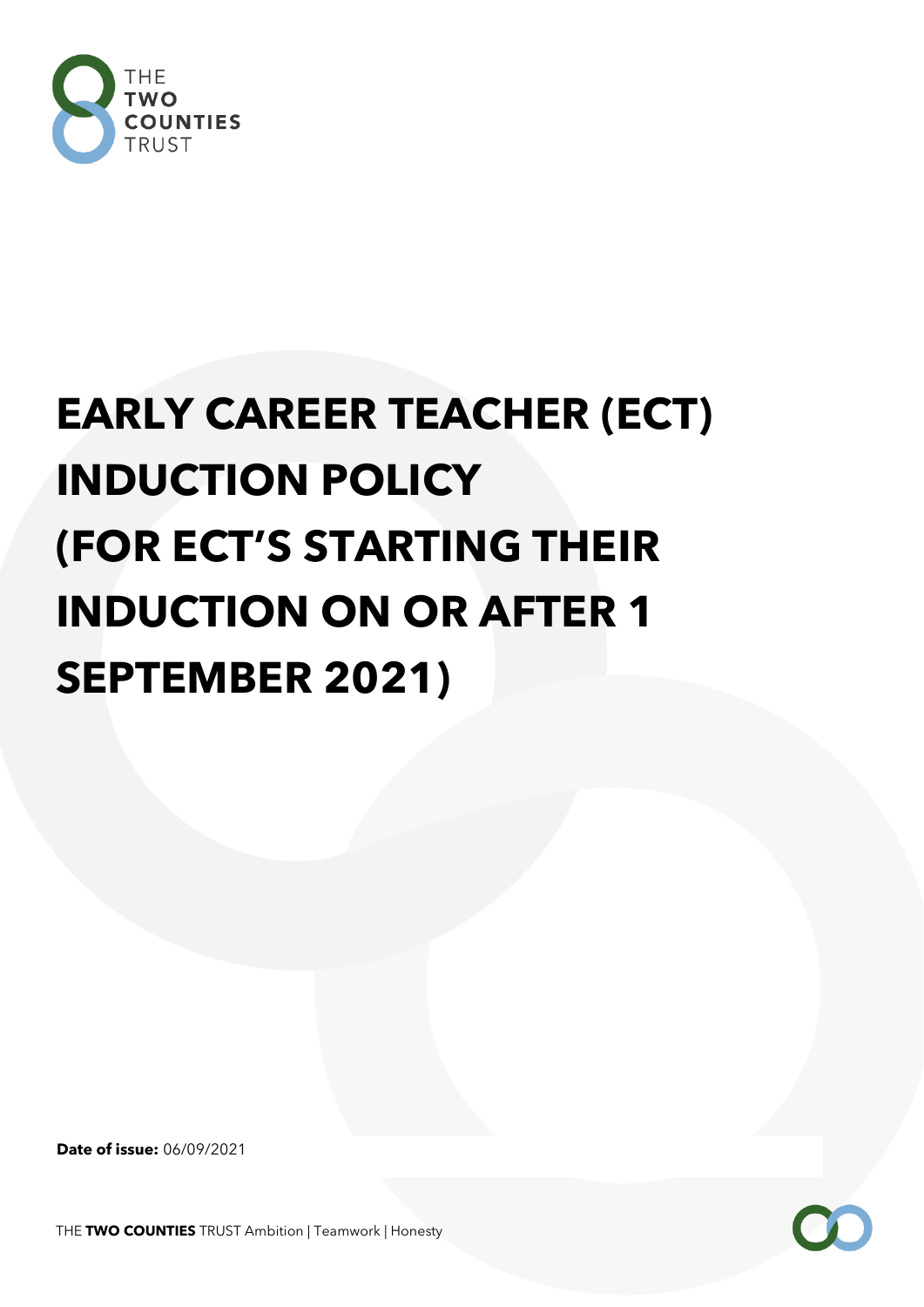

# **EARLY CAREER TEACHER (ECT) INDUCTION POLICY (FOR ECT'S STARTING THEIR INDUCTION ON OR AFTER 1 SEPTEMBER 2021)**

**Date of issue:** 06/09/2021

THE **TWO COUNTIES** TRUST Ambition | Teamwork | Honesty

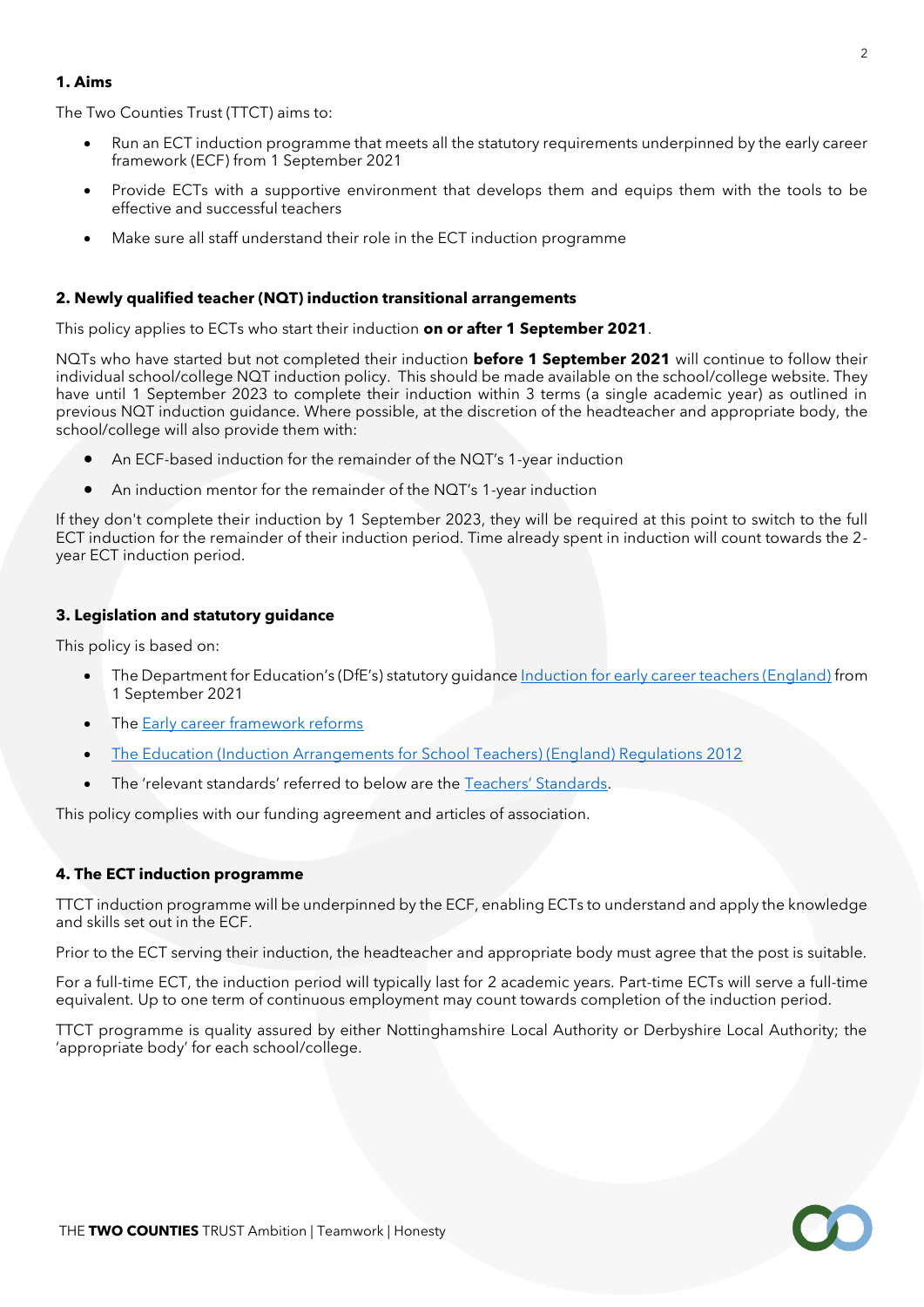# **1. Aims**

The Two Counties Trust (TTCT) aims to:

- Run an ECT induction programme that meets all the statutory requirements underpinned by the early career framework (ECF) from 1 September 2021
- Provide ECTs with a supportive environment that develops them and equips them with the tools to be effective and successful teachers
- Make sure all staff understand their role in the ECT induction programme

## **2. Newly qualified teacher (NQT) induction transitional arrangements**

This policy applies to ECTs who start their induction **on or after 1 September 2021**.

NQTs who have started but not completed their induction **before 1 September 2021** will continue to follow their individual school/college NQT induction policy. This should be made available on the school/college website. They have until 1 September 2023 to complete their induction within 3 terms (a single academic year) as outlined in previous NQT induction guidance. Where possible, at the discretion of the headteacher and appropriate body, the school/college will also provide them with:

- An ECF-based induction for the remainder of the NQT's 1-year induction
- An induction mentor for the remainder of the NQT's 1-year induction

If they don't complete their induction by 1 September 2023, they will be required at this point to switch to the full ECT induction for the remainder of their induction period. Time already spent in induction will count towards the 2 year ECT induction period.

## **3. Legislation and statutory guidance**

This policy is based on:

- The Department for Education's (DfE's) statutory guidance [Induction for early career teachers \(England\)](https://www.gov.uk/government/publications/induction-for-early-career-teachers-england) from 1 September 2021
- Th[e Early career framework reforms](https://www.gov.uk/government/collections/early-career-framework-reforms)
- [The Education \(Induction Arrangements for School Teachers\) \(England\) Regulations 2012](http://www.legislation.gov.uk/uksi/2012/1115/contents/made)
- The 'relevant standards' referred to below are the [Teachers' Standards](https://www.gov.uk/government/publications/teachers-standards).

This policy complies with our funding agreement and articles of association.

#### **4. The ECT induction programme**

TTCT induction programme will be underpinned by the ECF, enabling ECTs to understand and apply the knowledge and skills set out in the ECF.

Prior to the ECT serving their induction, the headteacher and appropriate body must agree that the post is suitable.

For a full-time ECT, the induction period will typically last for 2 academic years. Part-time ECTs will serve a full-time equivalent. Up to one term of continuous employment may count towards completion of the induction period.

TTCT programme is quality assured by either Nottinghamshire Local Authority or Derbyshire Local Authority; the 'appropriate body' for each school/college.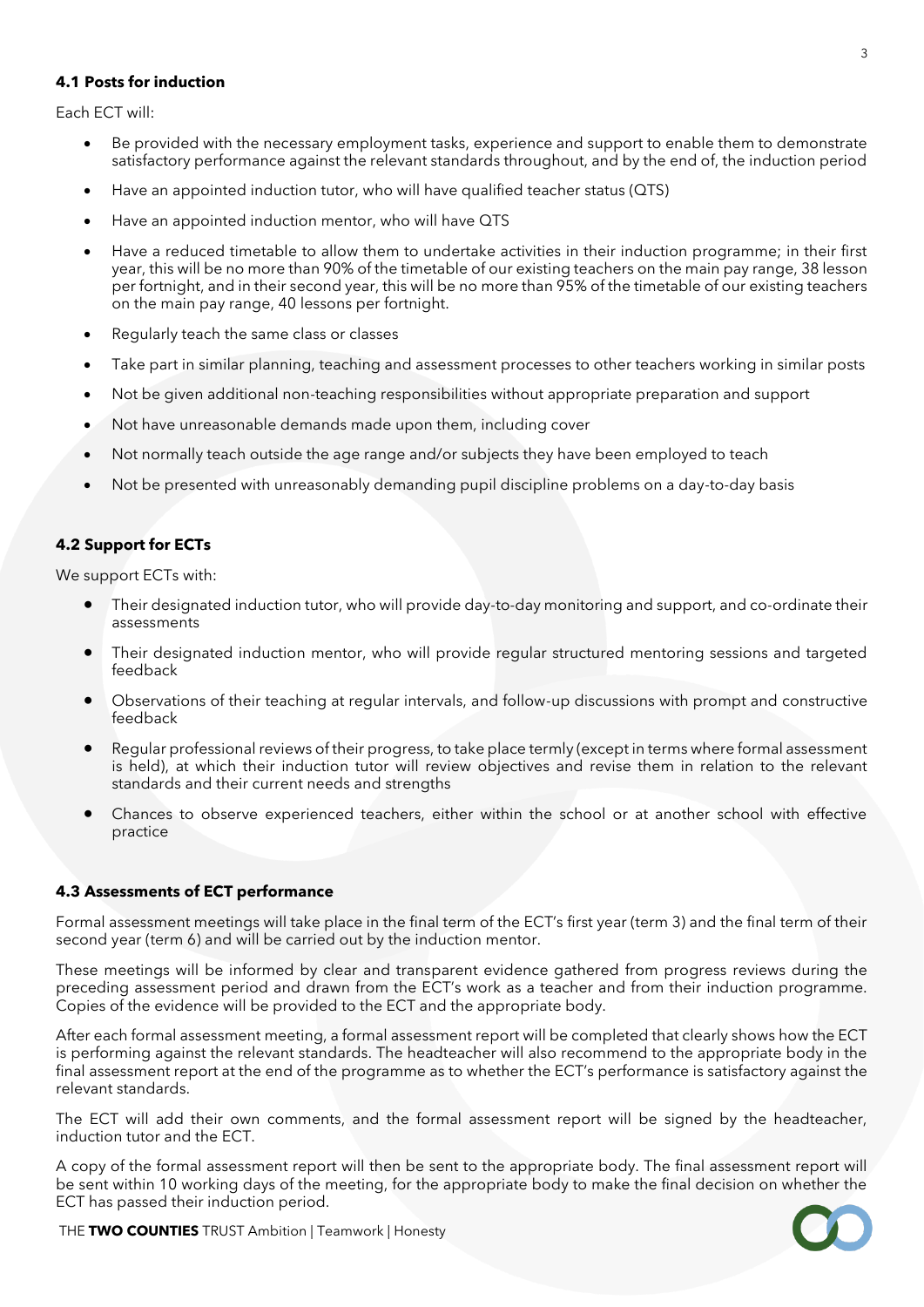# **4.1 Posts for induction**

Each ECT will:

- Be provided with the necessary employment tasks, experience and support to enable them to demonstrate satisfactory performance against the relevant standards throughout, and by the end of, the induction period
- Have an appointed induction tutor, who will have qualified teacher status (QTS)
- Have an appointed induction mentor, who will have QTS
- Have a reduced timetable to allow them to undertake activities in their induction programme; in their first year, this will be no more than 90% of the timetable of our existing teachers on the main pay range, 38 lesson per fortnight, and in their second year, this will be no more than 95% of the timetable of our existing teachers on the main pay range, 40 lessons per fortnight.
- Regularly teach the same class or classes
- Take part in similar planning, teaching and assessment processes to other teachers working in similar posts
- Not be given additional non-teaching responsibilities without appropriate preparation and support
- Not have unreasonable demands made upon them, including cover
- Not normally teach outside the age range and/or subjects they have been employed to teach
- Not be presented with unreasonably demanding pupil discipline problems on a day-to-day basis

# **4.2 Support for ECTs**

We support ECTs with:

- Their designated induction tutor, who will provide day-to-day monitoring and support, and co-ordinate their assessments
- Their designated induction mentor, who will provide regular structured mentoring sessions and targeted feedback
- Observations of their teaching at regular intervals, and follow-up discussions with prompt and constructive feedback
- Regular professional reviews of their progress, to take place termly (except in terms where formal assessment is held), at which their induction tutor will review objectives and revise them in relation to the relevant standards and their current needs and strengths
- Chances to observe experienced teachers, either within the school or at another school with effective practice

# **4.3 Assessments of ECT performance**

Formal assessment meetings will take place in the final term of the ECT's first year (term 3) and the final term of their second year (term 6) and will be carried out by the induction mentor.

These meetings will be informed by clear and transparent evidence gathered from progress reviews during the preceding assessment period and drawn from the ECT's work as a teacher and from their induction programme. Copies of the evidence will be provided to the ECT and the appropriate body.

After each formal assessment meeting, a formal assessment report will be completed that clearly shows how the ECT is performing against the relevant standards. The headteacher will also recommend to the appropriate body in the final assessment report at the end of the programme as to whether the ECT's performance is satisfactory against the relevant standards.

The ECT will add their own comments, and the formal assessment report will be signed by the headteacher, induction tutor and the ECT.

A copy of the formal assessment report will then be sent to the appropriate body. The final assessment report will be sent within 10 working days of the meeting, for the appropriate body to make the final decision on whether the ECT has passed their induction period.



THE **TWO COUNTIES** TRUST Ambition | Teamwork | Honesty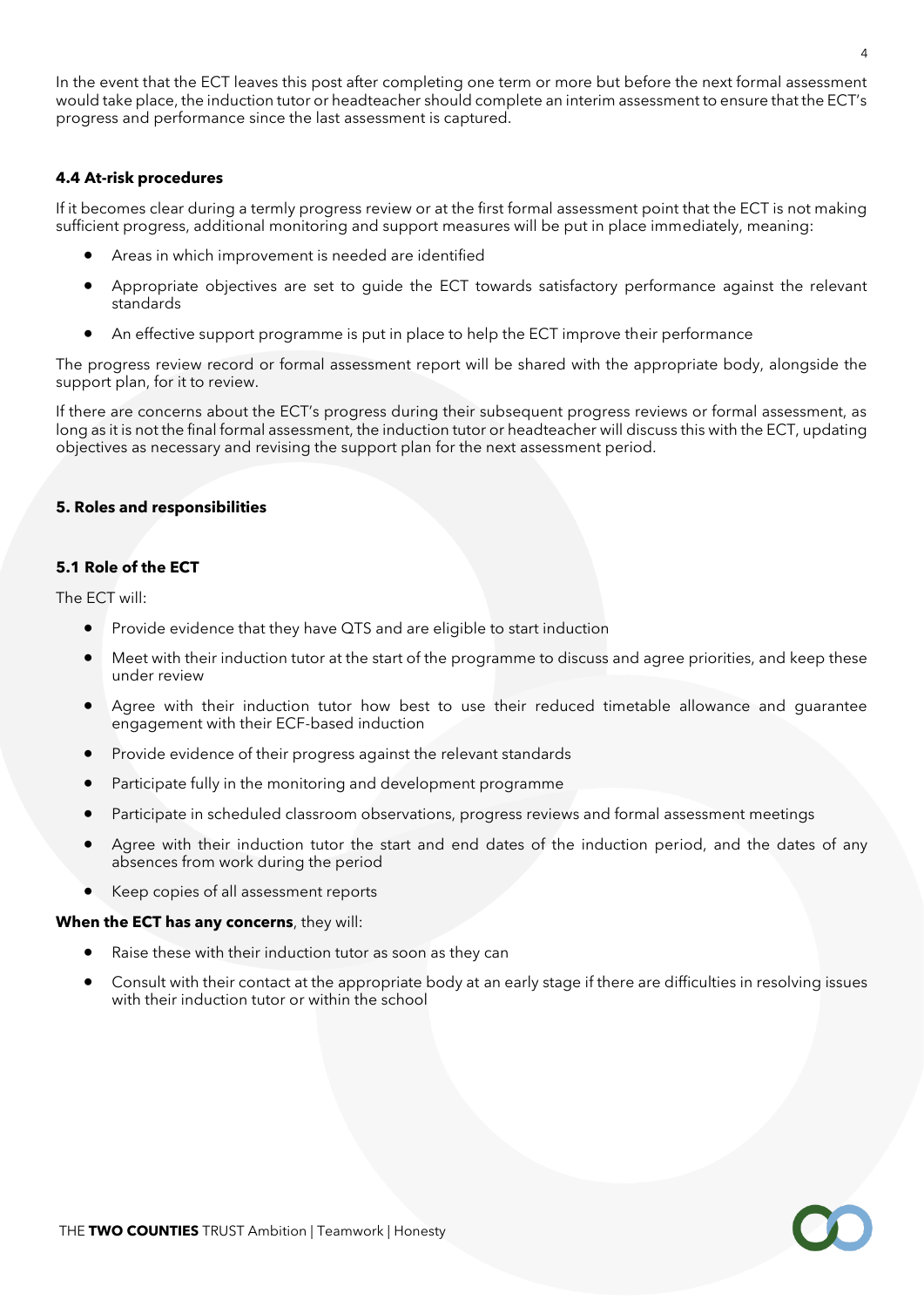In the event that the ECT leaves this post after completing one term or more but before the next formal assessment would take place, the induction tutor or headteacher should complete an interim assessment to ensure that the ECT's progress and performance since the last assessment is captured.

## **4.4 At-risk procedures**

If it becomes clear during a termly progress review or at the first formal assessment point that the ECT is not making sufficient progress, additional monitoring and support measures will be put in place immediately, meaning:

- Areas in which improvement is needed are identified
- Appropriate objectives are set to guide the ECT towards satisfactory performance against the relevant standards
- An effective support programme is put in place to help the ECT improve their performance

The progress review record or formal assessment report will be shared with the appropriate body, alongside the support plan, for it to review.

If there are concerns about the ECT's progress during their subsequent progress reviews or formal assessment, as long as it is not the final formal assessment, the induction tutor or headteacher will discuss this with the ECT, updating objectives as necessary and revising the support plan for the next assessment period.

## **5. Roles and responsibilities**

## **5.1 Role of the ECT**

The ECT will:

- Provide evidence that they have QTS and are eligible to start induction
- Meet with their induction tutor at the start of the programme to discuss and agree priorities, and keep these under review
- Agree with their induction tutor how best to use their reduced timetable allowance and guarantee engagement with their ECF-based induction
- Provide evidence of their progress against the relevant standards
- Participate fully in the monitoring and development programme
- Participate in scheduled classroom observations, progress reviews and formal assessment meetings
- Agree with their induction tutor the start and end dates of the induction period, and the dates of any absences from work during the period
- Keep copies of all assessment reports

#### **When the ECT has any concerns**, they will:

- Raise these with their induction tutor as soon as they can
- Consult with their contact at the appropriate body at an early stage if there are difficulties in resolving issues with their induction tutor or within the school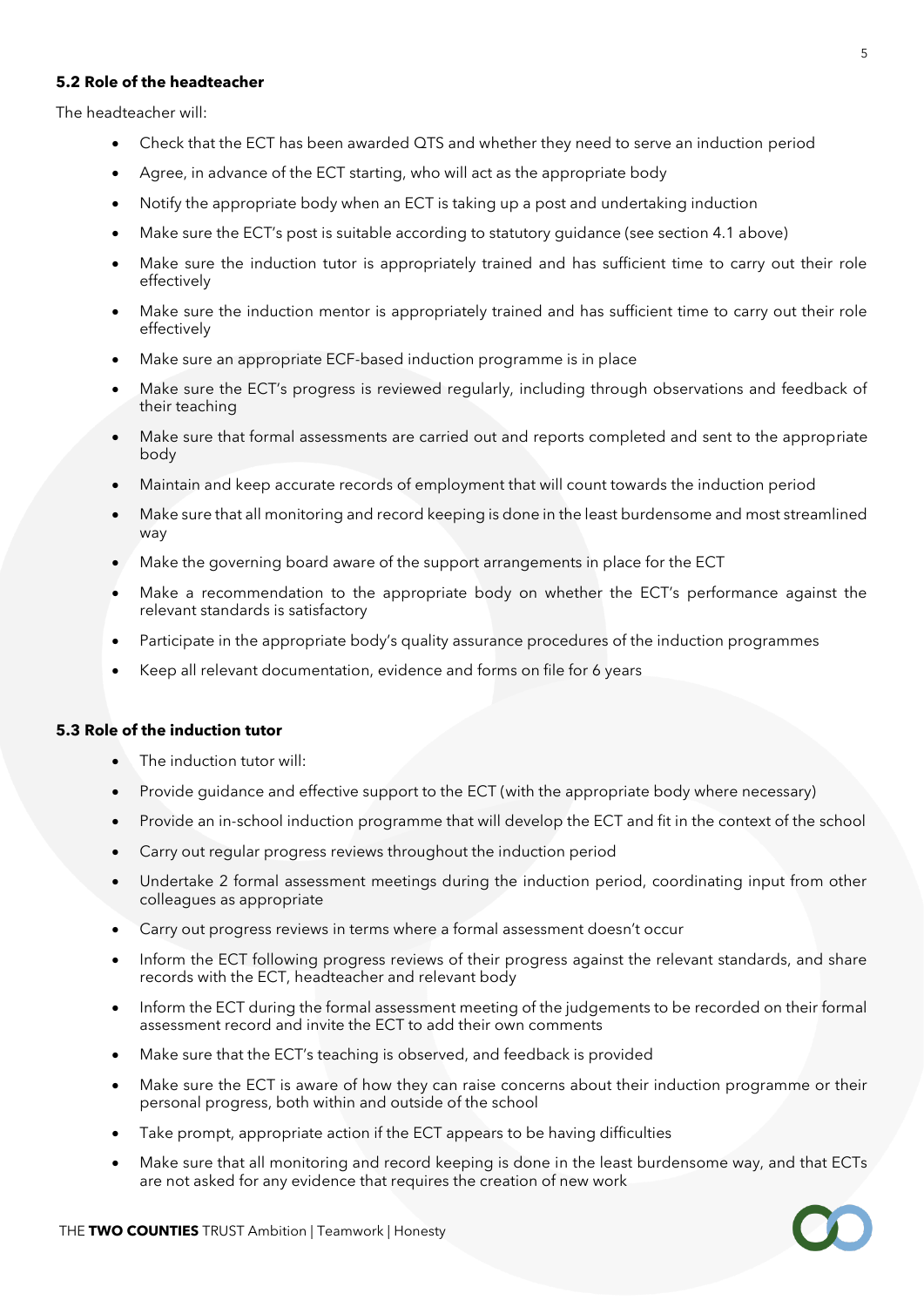# **5.2 Role of the headteacher**

The headteacher will:

- Check that the ECT has been awarded QTS and whether they need to serve an induction period
- Agree, in advance of the ECT starting, who will act as the appropriate body
- Notify the appropriate body when an ECT is taking up a post and undertaking induction
- Make sure the ECT's post is suitable according to statutory guidance (see section 4.1 above)
- Make sure the induction tutor is appropriately trained and has sufficient time to carry out their role effectively
- Make sure the induction mentor is appropriately trained and has sufficient time to carry out their role effectively
- Make sure an appropriate ECF-based induction programme is in place
- Make sure the ECT's progress is reviewed regularly, including through observations and feedback of their teaching
- Make sure that formal assessments are carried out and reports completed and sent to the appropriate body
- Maintain and keep accurate records of employment that will count towards the induction period
- Make sure that all monitoring and record keeping is done in the least burdensome and most streamlined way
- Make the governing board aware of the support arrangements in place for the ECT
- Make a recommendation to the appropriate body on whether the ECT's performance against the relevant standards is satisfactory
- Participate in the appropriate body's quality assurance procedures of the induction programmes
- Keep all relevant documentation, evidence and forms on file for 6 years

#### **5.3 Role of the induction tutor**

- The induction tutor will:
- Provide guidance and effective support to the ECT (with the appropriate body where necessary)
- Provide an in-school induction programme that will develop the ECT and fit in the context of the school
- Carry out regular progress reviews throughout the induction period
- Undertake 2 formal assessment meetings during the induction period, coordinating input from other colleagues as appropriate
- Carry out progress reviews in terms where a formal assessment doesn't occur
- Inform the ECT following progress reviews of their progress against the relevant standards, and share records with the ECT, headteacher and relevant body
- Inform the ECT during the formal assessment meeting of the judgements to be recorded on their formal assessment record and invite the ECT to add their own comments
- Make sure that the ECT's teaching is observed, and feedback is provided
- Make sure the ECT is aware of how they can raise concerns about their induction programme or their personal progress, both within and outside of the school
- Take prompt, appropriate action if the ECT appears to be having difficulties
- Make sure that all monitoring and record keeping is done in the least burdensome way, and that ECTs are not asked for any evidence that requires the creation of new work